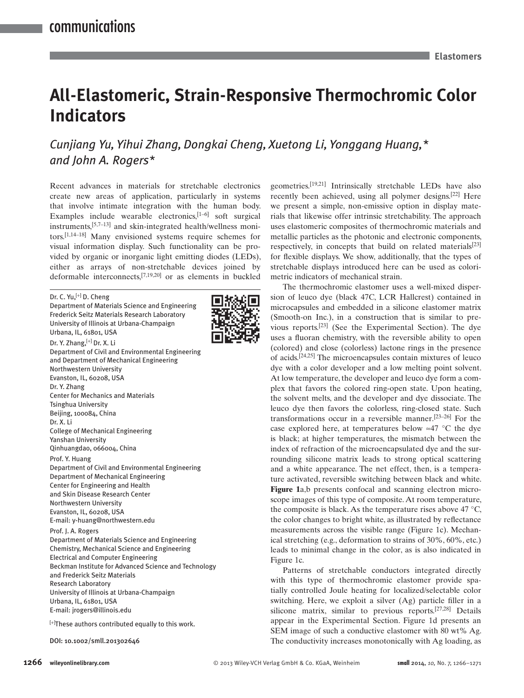# **All-Elastomeric, Strain-Responsive Thermochromic Color Indicators**

## *Cunjiang Yu , Yihui Zhang , Dongkai Cheng , Xuetong Li , Yonggang Huang ,\* and John A. Rogers \**

 Recent advances in materials for stretchable electronics create new areas of application, particularly in systems that involve intimate integration with the human body. Examples include wearable electronics, $[1-6]$  soft surgical instruments, [5,7-13] and skin-integrated health/wellness monitors. [1,14–18] Many envisioned systems require schemes for visual information display. Such functionality can be provided by organic or inorganic light emitting diodes (LEDs), either as arrays of non-stretchable devices joined by deformable interconnects,  $[7,19,20]$  or as elements in buckled

#### Dr. C. Yu,<sup>[+]</sup> D. Cheng

Department of Materials Science and Engineering Frederick Seitz Materials Research Laboratory University of Illinois at Urbana-Champaign Urbana, IL, 61801, USA Dr. Y. Zhang, <sup>[+]</sup> Dr. X. Li Department of Civil and Environmental Engineering and Department of Mechanical Engineering Northwestern University Evanston, IL, 60208, USA Dr. Y. Zhang Center for Mechanics and Materials Tsinghua University Beijing, 100084, China Dr. X. Li College of Mechanical Engineering Yanshan University Qinhuangdao, 066004, China Prof. Y. Huang Department of Civil and Environmental Engineering Department of Mechanical Engineering Center for Engineering and Health and Skin Disease Research Center Northwestern University Evanston, IL, 60208, USA E-mail: y-huang@northwestern.edu Prof. J. A. Rogers Department of Materials Science and Engineering Chemistry, Mechanical Science and Engineering Electrical and Computer Engineering Beckman Institute for Advanced Science and Technology and Frederick Seitz Materials Research Laboratory University of Illinois at Urbana-Champaign Urbana, IL, 61801, USA E-mail: jrogers@illinois.edu

 $\left[^{+}\right]$  These authors contributed equally to this work.



geometries.<sup>[19,21]</sup> Intrinsically stretchable LEDs have also recently been achieved, using all polymer designs.<sup>[22]</sup> Here we present a simple, non-emissive option in display materials that likewise offer intrinsic stretchability. The approach uses elastomeric composites of thermochromic materials and metallic particles as the photonic and electronic components, respectively, in concepts that build on related materials $[23]$ for flexible displays. We show, additionally, that the types of stretchable displays introduced here can be used as colorimetric indicators of mechanical strain.

 The thermochromic elastomer uses a well-mixed dispersion of leuco dye (black 47C, LCR Hallcrest) contained in microcapsules and embedded in a silicone elastomer matrix (Smooth-on Inc.), in a construction that is similar to previous reports. $[23]$  (See the Experimental Section). The dye uses a fluoran chemistry, with the reversible ability to open (colored) and close (colorless) lactone rings in the presence of acids. [24,25] The microencapsules contain mixtures of leuco dye with a color developer and a low melting point solvent. At low temperature, the developer and leuco dye form a complex that favors the colored ring-open state. Upon heating, the solvent melts, and the developer and dye dissociate. The leuco dye then favors the colorless, ring-closed state. Such transformations occur in a reversible manner.  $[23-26]$  For the case explored here, at temperatures below ≈47 °C the dye is black; at higher temperatures, the mismatch between the index of refraction of the microencapsulated dye and the surrounding silicone matrix leads to strong optical scattering and a white appearance. The net effect, then, is a temperature activated, reversible switching between black and white. Figure 1a,b presents confocal and scanning electron microscope images of this type of composite. At room temperature, the composite is black. As the temperature rises above 47  $\mathrm{^{\circ}C}$ , the color changes to bright white, as illustrated by reflectance measurements across the visible range (Figure 1c). Mechanical stretching (e.g., deformation to strains of 30%, 60%, etc.) leads to minimal change in the color, as is also indicated in Figure 1c.

 Patterns of stretchable conductors integrated directly with this type of thermochromic elastomer provide spatially controlled Joule heating for localized/selectable color switching. Here, we exploit a silver  $(Ag)$  particle filler in a silicone matrix, similar to previous reports.  $[27,28]$  Details appear in the Experimental Section. Figure 1d presents an SEM image of such a conductive elastomer with 80 wt% Ag. DOI: 10.1002/smll.201302646 The conductivity increases monotonically with Ag loading, as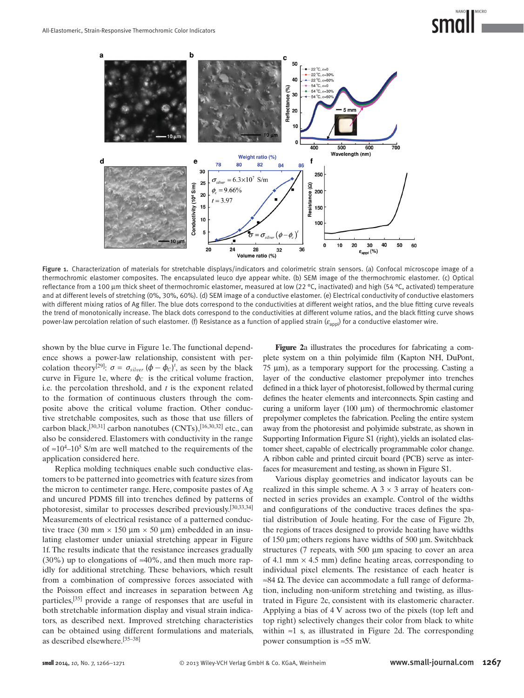

 Figure 1. Characterization of materials for stretchable displays/indicators and colorimetric strain sensors. (a) Confocal microscope image of a thermochromic elastomer composites. The encapsulated leuco dye appear white. (b) SEM image of the thermochromic elastomer. (c) Optical reflectance from a 100 μm thick sheet of thermochromic elastomer, measured at low (22 °C, inactivated) and high (54 °C, activated) temperature and at different levels of stretching (0%, 30%, 60%). (d) SEM image of a conductive elastomer. (e) Electrical conductivity of conductive elastomers with different mixing ratios of Ag filler. The blue dots correspond to the conductivities at different weight ratios, and the blue fitting curve reveals the trend of monotonically increase. The black dots correspond to the conductivities at different volume ratios, and the black fitting curve shows power-law percolation relation of such elastomer. (f) Resistance as a function of applied strain ( $\varepsilon_{\rm a\rm \scriptscriptstyle DD}$ ) for a conductive elastomer wire.

shown by the blue curve in Figure 1e. The functional dependence shows a power-law relationship, consistent with percolation theory<sup>[29]</sup>:  $\sigma = \sigma_{\text{silver}} (\phi - \phi_c)^t$ , as seen by the black curve in Figure 1e, where  $\phi_C$  is the critical volume fraction, i.e. the percolation threshold, and *t* is the exponent related to the formation of continuous clusters through the composite above the critical volume fraction. Other conductive stretchable composites, such as those that use fillers of carbon black,  $\left[30,31\right]$  carbon nanotubes (CNTs),  $\left[16,30,32\right]$  etc., can also be considered. Elastomers with conductivity in the range of  $\approx 10^4 - 10^5$  S/m are well matched to the requirements of the application considered here.

 Replica molding techniques enable such conductive elastomers to be patterned into geometries with feature sizes from the micron to centimeter range. Here, composite pastes of Ag and uncured PDMS fill into trenches defined by patterns of photoresist, similar to processes described previously. [30,33,34] Measurements of electrical resistance of a patterned conductive trace (30 mm  $\times$  150 µm  $\times$  50 µm) embedded in an insulating elastomer under uniaxial stretching appear in Figure 1f. The results indicate that the resistance increases gradually (30%) up to elongations of ≈40%, and then much more rapidly for additional stretching. These behaviors, which result from a combination of compressive forces associated with the Poisson effect and increases in separation between Ag particles,<sup>[35]</sup> provide a range of responses that are useful in both stretchable information display and visual strain indicators, as described next. Improved stretching characteristics can be obtained using different formulations and materials, as described elsewhere. [35–38]

Figure 2a illustrates the procedures for fabricating a complete system on a thin polyimide film (Kapton NH, DuPont,  $75 \mu m$ ), as a temporary support for the processing. Casting a layer of the conductive elastomer prepolymer into trenches defined in a thick layer of photoresist, followed by thermal curing defines the heater elements and interconnects. Spin casting and curing a uniform layer  $(100 \mu m)$  of thermochromic elastomer prepolymer completes the fabrication. Peeling the entire system away from the photoresist and polyimide substrate, as shown in Supporting Information Figure S1 (right), yields an isolated elastomer sheet, capable of electrically programmable color change. A ribbon cable and printed circuit board (PCB) serve as interfaces for measurement and testing, as shown in Figure S1.

 Various display geometries and indicator layouts can be realized in this simple scheme. A  $3 \times 3$  array of heaters connected in series provides an example. Control of the widths and configurations of the conductive traces defines the spatial distribution of Joule heating. For the case of Figure 2b, the regions of traces designed to provide heating have widths of 150 μm; others regions have widths of 500 μm. Switchback structures (7 repeats, with 500 μm spacing to cover an area of 4.1 mm  $\times$  4.5 mm) define heating areas, corresponding to individual pixel elements. The resistance of each heater is  $\approx$ 84 Ω. The device can accommodate a full range of deformation, including non-uniform stretching and twisting, as illustrated in Figure 2c, consistent with its elastomeric character. Applying a bias of 4 V across two of the pixels (top left and top right) selectively changes their color from black to white within  $\approx 1$  s, as illustrated in Figure 2d. The corresponding power consumption is ≈55 mW.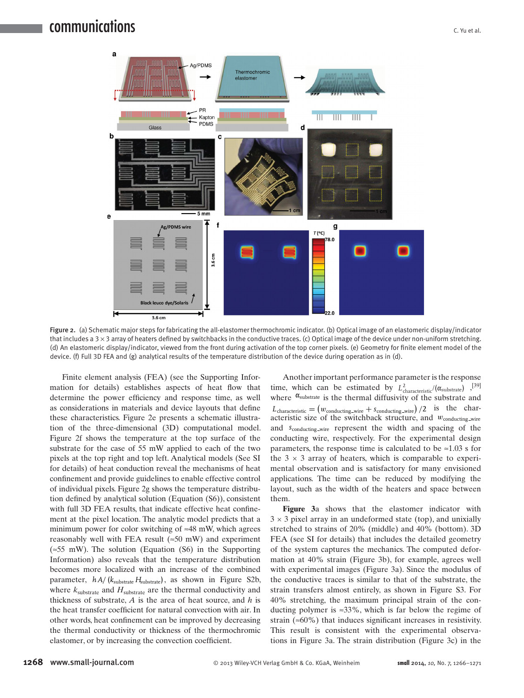

 Figure 2. (a) Schematic major steps for fabricating the all-elastomer thermochromic indicator. (b) Optical image of an elastomeric display/indicator that includes a  $3 \times 3$  array of heaters defined by switchbacks in the conductive traces. (c) Optical image of the device under non-uniform stretching. (d) An elastomeric display/indicator, viewed from the front during activation of the top corner pixels. (e) Geometry for finite element model of the device. (f) Full 3D FEA and (g) analytical results of the temperature distribution of the device during operation as in (d).

 Finite element analysis (FEA) (see the Supporting Information for details) establishes aspects of heat flow that determine the power efficiency and response time, as well as considerations in materials and device layouts that define these characteristics. Figure 2e presents a schematic illustration of the three-dimensional (3D) computational model. Figure 2f shows the temperature at the top surface of the substrate for the case of 55 mW applied to each of the two pixels at the top right and top left. Analytical models (See SI for details) of heat conduction reveal the mechanisms of heat confinement and provide guidelines to enable effective control of individual pixels. Figure 2g shows the temperature distribution defined by analytical solution (Equation (S6)), consistent with full 3D FEA results, that indicate effective heat confinement at the pixel location. The analytic model predicts that a minimum power for color switching of ≈48 mW, which agrees reasonably well with FEA result ( $\approx 50$  mW) and experiment (≈55 mW). The solution (Equation (S6) in the Supporting Information) also reveals that the temperature distribution becomes more localized with an increase of the combined parameter,  $h A / (k_{substrate} H_{substrate})$ , as shown in Figure S2b, where  $k_{substrate}$  and  $H_{substrate}$  are the thermal conductivity and thickness of substrate, *A* is the area of heat source, and *h* is the heat transfer coefficient for natural convection with air. In other words, heat confinement can be improved by decreasing the thermal conductivity or thickness of the thermochromic elastomer, or by increasing the convection coefficient.

 Another important performance parameter is the response time, which can be estimated by  $L_{characteristic}^2/(\alpha_{\text{substrate}})$ ,<sup>[39]</sup> where  $\alpha_{\text{substrate}}$  is the thermal diffusivity of the substrate and  $L_{\text{characteristic}} = (w_{\text{conducting\_wire}} + s_{\text{conducting\_wire}})/2$  is the characteristic size of the switchback structure, and *w*<sub>conducting wire</sub> and *s*conducting wire represent the width and spacing of the conducting wire, respectively. For the experimental design parameters, the response time is calculated to be  $\approx 1.03$  s for the  $3 \times 3$  array of heaters, which is comparable to experimental observation and is satisfactory for many envisioned applications. The time can be reduced by modifying the layout, such as the width of the heaters and space between them.

**Figure** 3a shows that the elastomer indicator with  $3 \times 3$  pixel array in an undeformed state (top), and unixially stretched to strains of 20% (middle) and 40% (bottom). 3D FEA (see SI for details) that includes the detailed geometry of the system captures the mechanics. The computed deformation at 40% strain (Figure 3b), for example, agrees well with experimental images (Figure 3a). Since the modulus of the conductive traces is similar to that of the substrate, the strain transfers almost entirely, as shown in Figure S3. For 40% stretching, the maximum principal strain of the conducting polymer is  $\approx 33\%$ , which is far below the regime of strain ( $\approx 60\%$ ) that induces significant increases in resistivity. This result is consistent with the experimental observations in Figure 3a. The strain distribution (Figure 3c) in the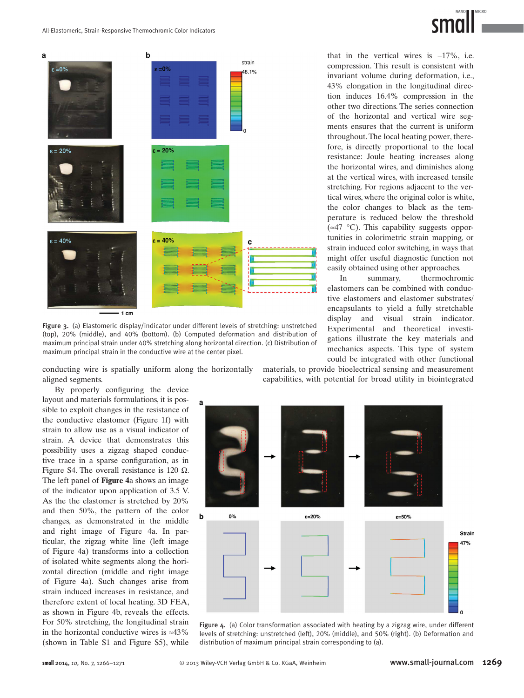



 Figure 3. (a) Elastomeric display/indicator under different levels of stretching: unstretched (top), 20% (middle), and 40% (bottom). (b) Computed deformation and distribution of maximum principal strain under 40% stretching along horizontal direction. (c) Distribution of maximum principal strain in the conductive wire at the center pixel.

conducting wire is spatially uniform along the horizontally aligned segments.

By properly configuring the device layout and materials formulations, it is possible to exploit changes in the resistance of the conductive elastomer (Figure 1f) with strain to allow use as a visual indicator of strain. A device that demonstrates this possibility uses a zigzag shaped conductive trace in a sparse configuration, as in Figure S4. The overall resistance is 120  $\Omega$ . The left panel of **Figure** 4a shows an image of the indicator upon application of 3.5 V. As the the elastomer is stretched by 20% and then 50%, the pattern of the color changes, as demonstrated in the middle and right image of Figure 4a. In particular, the zigzag white line (left image of Figure 4a) transforms into a collection of isolated white segments along the horizontal direction (middle and right image of Figure 4a). Such changes arise from strain induced increases in resistance, and therefore extent of local heating. 3D FEA, as shown in Figure 4b, reveals the effects. For 50% stretching, the longitudinal strain in the horizontal conductive wires is  $\approx 43\%$ (shown in Table S1 and Figure S5), while

that in the vertical wires is −17%, i.e. compression. This result is consistent with invariant volume during deformation, i.e., 43% elongation in the longitudinal direction induces 16.4% compression in the other two directions. The series connection of the horizontal and vertical wire segments ensures that the current is uniform throughout. The local heating power, therefore, is directly proportional to the local resistance: Joule heating increases along the horizontal wires, and diminishes along at the vertical wires, with increased tensile stretching. For regions adjacent to the vertical wires, where the original color is white, the color changes to black as the temperature is reduced below the threshold  $(\approx 47 \degree C)$ . This capability suggests opportunities in colorimetric strain mapping, or strain induced color switching, in ways that might offer useful diagnostic function not easily obtained using other approaches.

 In summary, thermochromic elastomers can be combined with conductive elastomers and elastomer substrates/ encapsulants to yield a fully stretchable display and visual strain indicator. Experimental and theoretical investigations illustrate the key materials and mechanics aspects. This type of system could be integrated with other functional

materials, to provide bioelectrical sensing and measurement capabilities, with potential for broad utility in biointegrated



 Figure 4. (a) Color transformation associated with heating by a zigzag wire, under different levels of stretching: unstretched (left), 20% (middle), and 50% (right). (b) Deformation and distribution of maximum principal strain corresponding to (a).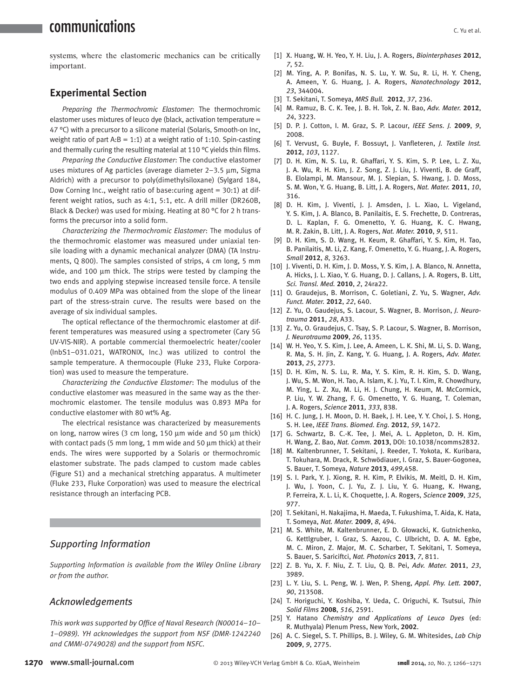## communications

systems, where the elastomeric mechanics can be critically important.

## **Experimental Section**

*Preparing the Thermochromic Elastomer*: The thermochromic elastomer uses mixtures of leuco dye (black, activation temperature = 47 °C) with a precursor to a silicone material (Solaris, Smooth-on Inc, weight ratio of part  $A:B = 1:1$ ) at a weight ratio of 1:10. Spin-casting and thermally curing the resulting material at 110  $\degree$ C yields thin films.

*Preparing the Conductive Elastomer*: The conductive elastomer uses mixtures of Ag particles (average diameter 2–3.5 μm, Sigma Aldrich) with a precursor to poly(dimethylsiloxane) (Sylgard 184, Dow Corning Inc., weight ratio of base: curing agent  $=$  30:1) at different weight ratios, such as 4:1, 5:1, etc. A drill miller (DR260B, Black & Decker) was used for mixing. Heating at 80 °C for 2 h transforms the precursor into a solid form.

*Characterizing the Thermochromic Elastomer* : The modulus of the thermochromic elastomer was measured under uniaxial tensile loading with a dynamic mechanical analyzer (DMA) (TA Instruments, Q 800). The samples consisted of strips, 4 cm long, 5 mm wide, and 100 μm thick. The strips were tested by clamping the two ends and applying stepwise increased tensile force. A tensile modulus of 0.409 MPa was obtained from the slope of the linear part of the stress-strain curve. The results were based on the average of six individual samples.

The optical reflectance of the thermochromic elastomer at different temperatures was measured using a spectrometer (Cary 5G UV-VIS-NIR). A portable commercial thermoelectric heater/cooler (InbS1–031.021, WATRONIX, Inc.) was utilized to control the sample temperature. A thermocouple (Fluke 233, Fluke Corporation) was used to measure the temperature.

*Characterizing the Conductive Elastomer* : The modulus of the conductive elastomer was measured in the same way as the thermochromic elastomer. The tensile modulus was 0.893 MPa for conductive elastomer with 80 wt% Ag.

 The electrical resistance was characterized by measurements on long, narrow wires (3 cm long, 150  $\mu$ m wide and 50  $\mu$ m thick) with contact pads (5 mm long, 1 mm wide and 50  $\mu$ m thick) at their ends. The wires were supported by a Solaris or thermochromic elastomer substrate. The pads clamped to custom made cables (Figure S1) and a mechanical stretching apparatus. A multimeter (Fluke 233, Fluke Corporation) was used to measure the electrical resistance through an interfacing PCB.

## *Supporting Information*

 *Supporting Information is available from the Wiley Online Library or from the author.* 

### *Acknowledgements*

This work was supported by Office of Naval Research (N00014-10-*1–0989). YH acknowledges the support from NSF (DMR-1242240 and CMMI-0749028) and the support from NSFC.* 

- [1] X. Huang, W. H. Yeo, Y. H. Liu, J. A. Rogers, *Biointerphases* 2012, *7* , 52 .
- [2] M. Ying, A. P. Bonifas, N. S. Lu, Y. W. Su, R. Li, H. Y. Cheng, A. Ameen, Y. G. Huang, J. A. Rogers, *Nanotechnology* 2012, *23* , 344004 .
- [3] T. Sekitani, T. Someya, *MRS Bull.* **2012**, 37, 236.
- [4] M. Ramuz, B. C. K. Tee, J. B. H. Tok, Z. N. Bao, Adv. Mater. 2012, *24* , 3223 .
- [5] D. P. J. Cotton, I. M. Graz, S. P. Lacour, *IEEE Sens. J.* 2009, 9, 2008.
- [6] T. Vervust, G. Buyle, F. Bossuyt, J. Vanfleteren, *J. Textile Inst.* **2012** , *103* , 1127 .
- [7] D. H. Kim, N. S. Lu, R. Ghaffari, Y. S. Kim, S. P. Lee, L. Z. Xu, J. A. Wu, R. H. Kim, J. Z. Song, Z. J. Liu, J. Viventi, B. de Graff, B. Elolampi, M. Mansour, M. J. Slepian, S. Hwang, J. D. Moss, S. M. Won , Y. G. Huang , B. Litt , J. A. Rogers , *Nat. Mater.* **2011** , *10* , 316 .
- [8] D. H. Kim, J. Viventi, J. J. Amsden, J. L. Xiao, L. Vigeland, Y. S. Kim, J. A. Blanco, B. Panilaitis, E. S. Frechette, D. Contreras, D. L. Kaplan, F. G. Omenetto, Y. G. Huang, K. C. Hwang, M. R. Zakin, B. Litt, J. A. Rogers, Nat. Mater. 2010, 9, 511.
- [9] D. H. Kim, S. D. Wang, H. Keum, R. Ghaffari, Y. S. Kim, H. Tao, B. Panilaitis, M. Li, Z. Kang, F. Omenetto, Y. G. Huang, J. A. Rogers, *Small* **2012** , *8* , 3263 .
- [10] J. Viventi, D. H. Kim, J. D. Moss, Y. S. Kim, J. A. Blanco, N. Annetta, A. Hicks, J. L. Xiao, Y. G. Huang, D. J. Callans, J. A. Rogers, B. Litt, *Sci. Transl. Med.* 2010, 2, 24ra22.
- [11] O. Graudejus, B. Morrison, C. Goletiani, Z. Yu, S. Wagner, Adv. *Funct. Mater.* **2012** , *22* , 640 .
- [12] Z. Yu, O. Gaudejus, S. Lacour, S. Wagner, B. Morrison, *J. Neurotrauma* **2011** , *28* , A33 .
- [13] Z. Yu, O. Graudejus, C. Tsay, S. P. Lacour, S. Wagner, B. Morrison, *J. Neurotrauma* **2009** , *26* , 1135 .
- [14] W. H. Yeo, Y. S. Kim, J. Lee, A. Ameen, L. K. Shi, M. Li, S. D. Wang, R. Ma, S. H. Jin, Z. Kang, Y. G. Huang, J. A. Rogers, Adv. Mater. **2013** , *25* , 2773 .
- [15] D. H. Kim, N. S. Lu, R. Ma, Y. S. Kim, R. H. Kim, S. D. Wang, J. Wu, S. M. Won, H. Tao, A. Islam, K. J. Yu, T. I. Kim, R. Chowdhury, M. Ying, L. Z. Xu, M. Li, H. J. Chung, H. Keum, M. McCormick, P. Liu, Y. W. Zhang, F. G. Omenetto, Y. G. Huang, T. Coleman, J. A. Rogers , *Science* **2011** , *333* , 838 .
- [16] H. C. Jung, J. H. Moon, D. H. Baek, J. H. Lee, Y. Y. Choi, J. S. Hong, S. H. Lee , *IEEE Trans. Biomed. Eng.* **2012** , *59* , 1472 .
- [17] G. Schwartz, B. C.-K. Tee, J. Mei, A. L. Appleton, D. H. Kim, H. Wang , Z. Bao , *Nat. Comm.* **2013** , DOI: 10.1038/ncomms2832.
- [18] M. Kaltenbrunner, T. Sekitani, J. Reeder, T. Yokota, K. Kuribara, T. Tokuhara, M. Drack, R. Schwödiauer, I. Graz, S. Bauer-Gogonea, S. Bauer , T. Someya , *Nature* **2013** , *499* , 458 .
- [19] S. I. Park, Y. J. Xiong, R. H. Kim, P. Elvikis, M. Meitl, D. H. Kim, J. Wu, J. Yoon, C. J. Yu, Z. J. Liu, Y. G. Huang, K. Hwang, P. Ferreira , X. L. Li , K. Choquette , J. A. Rogers , *Science* **2009** , *325* , 977 .
- [20] T. Sekitani, H. Nakajima, H. Maeda, T. Fukushima, T. Aida, K. Hata, T. Someya , *Nat. Mater.* **2009** , *8* , 494 .
- [21] M. S. White, M. Kaltenbrunner, E. D. Głowacki, K. Gutnichenko, G. Kettlgruber, I. Graz, S. Aazou, C. Ulbricht, D. A. M. Egbe, M. C. Miron, Z. Major, M. C. Scharber, T. Sekitani, T. Someya, S. Bauer , S. Sariciftci , *Nat. Photonics* **2013** , *7* , 811 .
- [22] Z. B. Yu, X. F. Niu, Z. T. Liu, Q. B. Pei, Adv. Mater. 2011, 23, 3989.
- [23] L. Y. Liu, S. L. Peng, W. J. Wen, P. Sheng, Appl. Phy. Lett. 2007, *90* , 213508 .
- [24] T. Horiguchi, Y. Koshiba, Y. Ueda, C. Origuchi, K. Tsutsui, Thin *Solid Films* **2008** , *516* , 2591 .
- [25] Y. Hatano *Chemistry and Applications of Leuco Dyes* (ed: R. Muthyala) Plenum Press, New York, 2002.
- [26] A. C. Siegel, S. T. Phillips, B. J. Wiley, G. M. Whitesides, *Lab Chip* **2009** , *9* , 2775 .